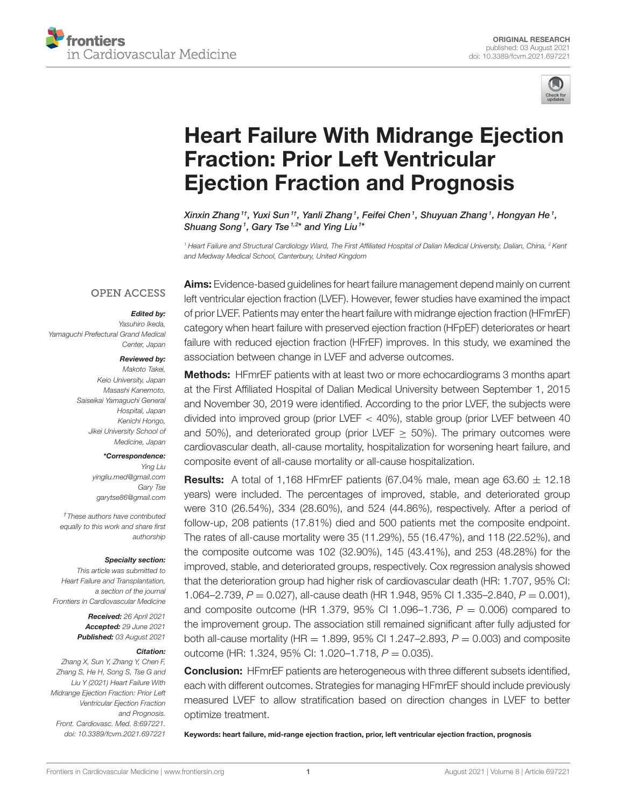



# [Heart Failure With Midrange Ejection](https://www.frontiersin.org/articles/10.3389/fcvm.2021.697221/full) Fraction: Prior Left Ventricular Ejection Fraction and Prognosis

Xinxin Zhang $^{\textit{1}\dagger},$  Yuxi Sun $^{\textit{1}\dagger},$  Yanli Zhang $^{\textit{1}},$  Feifei Chen $^{\textit{1}},$  Shuyuan Zhang $^{\textit{1}},$  Hongyan He $^{\textit{1}},$ Shuang Song<sup>1</sup>, Gary Tse<sup>1,2\*</sup> and Ying Liu<sup>1\*</sup>

*<sup>1</sup> Heart Failure and Structural Cardiology Ward, The First Affiliated Hospital of Dalian Medical University, Dalian, China, <sup>2</sup> Kent and Medway Medical School, Canterbury, United Kingdom*

### **OPEN ACCESS**

### Edited by:

*Yasuhiro Ikeda, Yamaguchi Prefectural Grand Medical Center, Japan*

### Reviewed by:

*Makoto Takei, Keio University, Japan Masashi Kanemoto, Saiseikai Yamaguchi General Hospital, Japan Kenichi Hongo, Jikei University School of Medicine, Japan*

#### \*Correspondence:

*Ying Liu [yingliu.med@gmail.com](mailto:yingliu.med@gmail.com) Gary Tse [garytse86@gmail.com](mailto:garytse86@gmail.com)*

*†These authors have contributed equally to this work and share first authorship*

#### Specialty section:

*This article was submitted to Heart Failure and Transplantation, a section of the journal Frontiers in Cardiovascular Medicine*

> Received: *26 April 2021* Accepted: *29 June 2021* Published: *03 August 2021*

### Citation:

*Zhang X, Sun Y, Zhang Y, Chen F, Zhang S, He H, Song S, Tse G and Liu Y (2021) Heart Failure With Midrange Ejection Fraction: Prior Left Ventricular Ejection Fraction and Prognosis. Front. Cardiovasc. Med. 8:697221. doi: [10.3389/fcvm.2021.697221](https://doi.org/10.3389/fcvm.2021.697221)*

Aims: Evidence-based guidelines for heart failure management depend mainly on current left ventricular ejection fraction (LVEF). However, fewer studies have examined the impact of prior LVEF. Patients may enter the heart failure with midrange ejection fraction (HFmrEF) category when heart failure with preserved ejection fraction (HFpEF) deteriorates or heart failure with reduced ejection fraction (HFrEF) improves. In this study, we examined the association between change in LVEF and adverse outcomes.

## Methods: HFmrEF patients with at least two or more echocardiograms 3 months apart at the First Affiliated Hospital of Dalian Medical University between September 1, 2015 and November 30, 2019 were identified. According to the prior LVEF, the subjects were divided into improved group (prior LVEF < 40%), stable group (prior LVEF between 40 and 50%), and deteriorated group (prior LVEF  $>$  50%). The primary outcomes were cardiovascular death, all-cause mortality, hospitalization for worsening heart failure, and composite event of all-cause mortality or all-cause hospitalization.

**Results:** A total of 1,168 HFmrEF patients (67.04% male, mean age  $63.60 \pm 12.18$ ) years) were included. The percentages of improved, stable, and deteriorated group were 310 (26.54%), 334 (28.60%), and 524 (44.86%), respectively. After a period of follow-up, 208 patients (17.81%) died and 500 patients met the composite endpoint. The rates of all-cause mortality were 35 (11.29%), 55 (16.47%), and 118 (22.52%), and the composite outcome was 102 (32.90%), 145 (43.41%), and 253 (48.28%) for the improved, stable, and deteriorated groups, respectively. Cox regression analysis showed that the deterioration group had higher risk of cardiovascular death (HR: 1.707, 95% CI: 1.064–2.739, *P* = 0.027), all-cause death (HR 1.948, 95% CI 1.335–2.840, *P* = 0.001), and composite outcome (HR 1.379, 95% CI 1.096–1.736, *P* = 0.006) compared to the improvement group. The association still remained significant after fully adjusted for both all-cause mortality (HR = 1.899, 95% CI 1.247-2.893,  $P = 0.003$ ) and composite outcome (HR: 1.324, 95% CI: 1.020–1.718, *P* = 0.035).

**Conclusion:** HFmrEF patients are heterogeneous with three different subsets identified, each with different outcomes. Strategies for managing HFmrEF should include previously measured LVEF to allow stratification based on direction changes in LVEF to better optimize treatment.

Keywords: heart failure, mid-range ejection fraction, prior, left ventricular ejection fraction, prognosis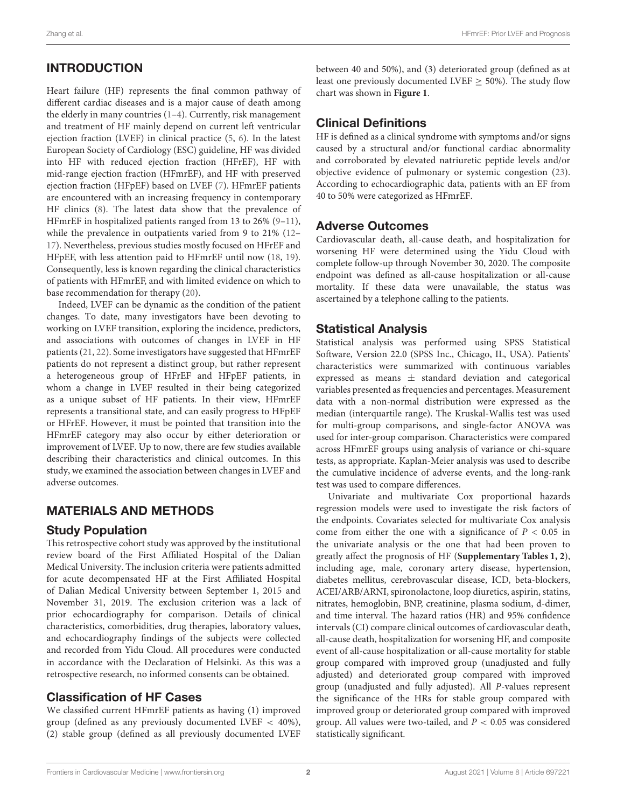# INTRODUCTION

Heart failure (HF) represents the final common pathway of different cardiac diseases and is a major cause of death among the elderly in many countries [\(1–](#page-7-0)[4\)](#page-7-1). Currently, risk management and treatment of HF mainly depend on current left ventricular ejection fraction (LVEF) in clinical practice [\(5,](#page-7-2) [6\)](#page-7-3). In the latest European Society of Cardiology (ESC) guideline, HF was divided into HF with reduced ejection fraction (HFrEF), HF with mid-range ejection fraction (HFmrEF), and HF with preserved ejection fraction (HFpEF) based on LVEF [\(7\)](#page-7-4). HFmrEF patients are encountered with an increasing frequency in contemporary HF clinics [\(8\)](#page-7-5). The latest data show that the prevalence of HFmrEF in hospitalized patients ranged from 13 to 26% [\(9–](#page-7-6)[11\)](#page-7-7), while the prevalence in outpatients varied from 9 to 21% [\(12–](#page-7-8) [17\)](#page-7-9). Nevertheless, previous studies mostly focused on HFrEF and HFpEF, with less attention paid to HFmrEF until now [\(18,](#page-8-0) [19\)](#page-8-1). Consequently, less is known regarding the clinical characteristics of patients with HFmrEF, and with limited evidence on which to base recommendation for therapy [\(20\)](#page-8-2).

Indeed, LVEF can be dynamic as the condition of the patient changes. To date, many investigators have been devoting to working on LVEF transition, exploring the incidence, predictors, and associations with outcomes of changes in LVEF in HF patients [\(21,](#page-8-3) [22\)](#page-8-4). Some investigators have suggested that HFmrEF patients do not represent a distinct group, but rather represent a heterogeneous group of HFrEF and HFpEF patients, in whom a change in LVEF resulted in their being categorized as a unique subset of HF patients. In their view, HFmrEF represents a transitional state, and can easily progress to HFpEF or HFrEF. However, it must be pointed that transition into the HFmrEF category may also occur by either deterioration or improvement of LVEF. Up to now, there are few studies available describing their characteristics and clinical outcomes. In this study, we examined the association between changes in LVEF and adverse outcomes.

## MATERIALS AND METHODS

### Study Population

This retrospective cohort study was approved by the institutional review board of the First Affiliated Hospital of the Dalian Medical University. The inclusion criteria were patients admitted for acute decompensated HF at the First Affiliated Hospital of Dalian Medical University between September 1, 2015 and November 31, 2019. The exclusion criterion was a lack of prior echocardiography for comparison. Details of clinical characteristics, comorbidities, drug therapies, laboratory values, and echocardiography findings of the subjects were collected and recorded from Yidu Cloud. All procedures were conducted in accordance with the Declaration of Helsinki. As this was a retrospective research, no informed consents can be obtained.

## Classification of HF Cases

We classified current HFmrEF patients as having (1) improved group (defined as any previously documented LVEF < 40%), (2) stable group (defined as all previously documented LVEF between 40 and 50%), and (3) deteriorated group (defined as at least one previously documented LVEF ≥ 50%). The study flow chart was shown in **[Figure 1](#page-2-0)**.

# Clinical Definitions

HF is defined as a clinical syndrome with symptoms and/or signs caused by a structural and/or functional cardiac abnormality and corroborated by elevated natriuretic peptide levels and/or objective evidence of pulmonary or systemic congestion [\(23\)](#page-8-5). According to echocardiographic data, patients with an EF from 40 to 50% were categorized as HFmrEF.

### Adverse Outcomes

Cardiovascular death, all-cause death, and hospitalization for worsening HF were determined using the Yidu Cloud with complete follow-up through November 30, 2020. The composite endpoint was defined as all-cause hospitalization or all-cause mortality. If these data were unavailable, the status was ascertained by a telephone calling to the patients.

### Statistical Analysis

Statistical analysis was performed using SPSS Statistical Software, Version 22.0 (SPSS Inc., Chicago, IL, USA). Patients' characteristics were summarized with continuous variables expressed as means  $\pm$  standard deviation and categorical variables presented as frequencies and percentages. Measurement data with a non-normal distribution were expressed as the median (interquartile range). The Kruskal-Wallis test was used for multi-group comparisons, and single-factor ANOVA was used for inter-group comparison. Characteristics were compared across HFmrEF groups using analysis of variance or chi-square tests, as appropriate. Kaplan-Meier analysis was used to describe the cumulative incidence of adverse events, and the long-rank test was used to compare differences.

Univariate and multivariate Cox proportional hazards regression models were used to investigate the risk factors of the endpoints. Covariates selected for multivariate Cox analysis come from either the one with a significance of  $P < 0.05$  in the univariate analysis or the one that had been proven to greatly affect the prognosis of HF (**[Supplementary Tables 1, 2](#page-7-10)**), including age, male, coronary artery disease, hypertension, diabetes mellitus, cerebrovascular disease, ICD, beta-blockers, ACEI/ARB/ARNI, spironolactone, loop diuretics, aspirin, statins, nitrates, hemoglobin, BNP, creatinine, plasma sodium, d-dimer, and time interval. The hazard ratios (HR) and 95% confidence intervals (CI) compare clinical outcomes of cardiovascular death, all-cause death, hospitalization for worsening HF, and composite event of all-cause hospitalization or all-cause mortality for stable group compared with improved group (unadjusted and fully adjusted) and deteriorated group compared with improved group (unadjusted and fully adjusted). All P-values represent the significance of the HRs for stable group compared with improved group or deteriorated group compared with improved group. All values were two-tailed, and  $P < 0.05$  was considered statistically significant.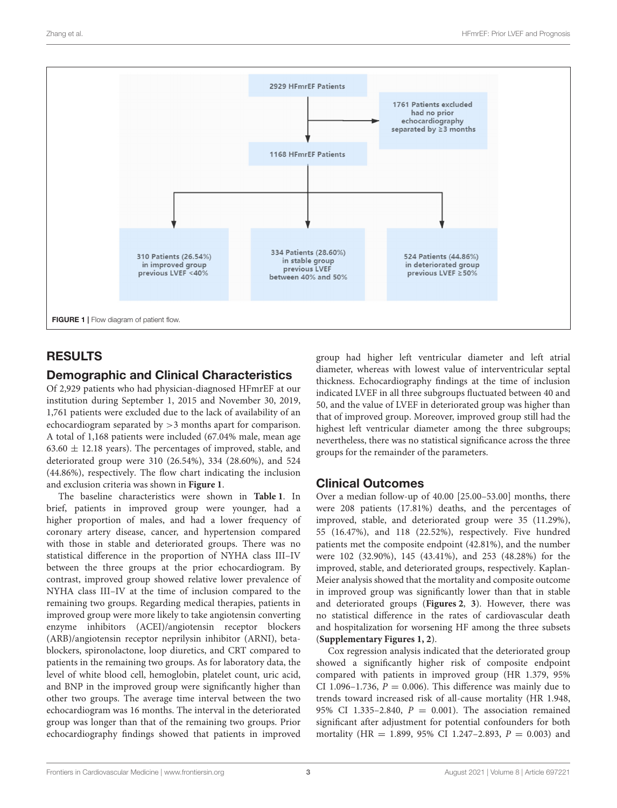

# <span id="page-2-0"></span>RESULTS

# Demographic and Clinical Characteristics

Of 2,929 patients who had physician-diagnosed HFmrEF at our institution during September 1, 2015 and November 30, 2019, 1,761 patients were excluded due to the lack of availability of an echocardiogram separated by >3 months apart for comparison. A total of 1,168 patients were included (67.04% male, mean age  $63.60 \pm 12.18$  years). The percentages of improved, stable, and deteriorated group were 310 (26.54%), 334 (28.60%), and 524 (44.86%), respectively. The flow chart indicating the inclusion and exclusion criteria was shown in **[Figure 1](#page-2-0)**.

The baseline characteristics were shown in **[Table 1](#page-3-0)**. In brief, patients in improved group were younger, had a higher proportion of males, and had a lower frequency of coronary artery disease, cancer, and hypertension compared with those in stable and deteriorated groups. There was no statistical difference in the proportion of NYHA class III–IV between the three groups at the prior echocardiogram. By contrast, improved group showed relative lower prevalence of NYHA class III–IV at the time of inclusion compared to the remaining two groups. Regarding medical therapies, patients in improved group were more likely to take angiotensin converting enzyme inhibitors (ACEI)/angiotensin receptor blockers (ARB)/angiotensin receptor neprilysin inhibitor (ARNI), betablockers, spironolactone, loop diuretics, and CRT compared to patients in the remaining two groups. As for laboratory data, the level of white blood cell, hemoglobin, platelet count, uric acid, and BNP in the improved group were significantly higher than other two groups. The average time interval between the two echocardiogram was 16 months. The interval in the deteriorated group was longer than that of the remaining two groups. Prior echocardiography findings showed that patients in improved group had higher left ventricular diameter and left atrial diameter, whereas with lowest value of interventricular septal thickness. Echocardiography findings at the time of inclusion indicated LVEF in all three subgroups fluctuated between 40 and 50, and the value of LVEF in deteriorated group was higher than that of improved group. Moreover, improved group still had the highest left ventricular diameter among the three subgroups; nevertheless, there was no statistical significance across the three groups for the remainder of the parameters.

# Clinical Outcomes

Over a median follow-up of 40.00 [25.00–53.00] months, there were 208 patients (17.81%) deaths, and the percentages of improved, stable, and deteriorated group were 35 (11.29%), 55 (16.47%), and 118 (22.52%), respectively. Five hundred patients met the composite endpoint (42.81%), and the number were 102 (32.90%), 145 (43.41%), and 253 (48.28%) for the improved, stable, and deteriorated groups, respectively. Kaplan-Meier analysis showed that the mortality and composite outcome in improved group was significantly lower than that in stable and deteriorated groups (**[Figures 2](#page-4-0)**, **[3](#page-5-0)**). However, there was no statistical difference in the rates of cardiovascular death and hospitalization for worsening HF among the three subsets (**[Supplementary Figures 1, 2](#page-7-10)**).

Cox regression analysis indicated that the deteriorated group showed a significantly higher risk of composite endpoint compared with patients in improved group (HR 1.379, 95% CI 1.096–1.736,  $P = 0.006$ ). This difference was mainly due to trends toward increased risk of all-cause mortality (HR 1.948, 95% CI 1.335-2.840,  $P = 0.001$ ). The association remained significant after adjustment for potential confounders for both mortality (HR = 1.899, 95% CI 1.247-2.893,  $P = 0.003$ ) and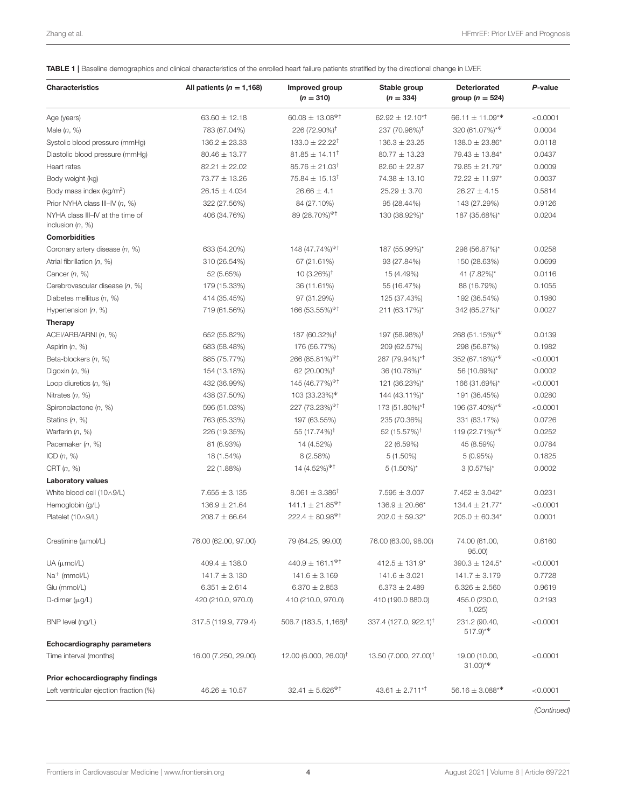<span id="page-3-0"></span>TABLE 1 | Baseline demographics and clinical characteristics of the enrolled heart failure patients stratified by the directional change in LVEF.

| <b>Characteristics</b>                                 | All patients ( $n = 1,168$ ) | Improved group<br>$(n = 310)$                                | Stable group<br>$(n = 334)$        | <b>Deteriorated</b><br>group ( $n = 524$ )    | P-value  |
|--------------------------------------------------------|------------------------------|--------------------------------------------------------------|------------------------------------|-----------------------------------------------|----------|
| Age (years)                                            | $63.60 \pm 12.18$            | $60.08 \pm 13.08$ <sup><math>\uppsi</math>†</sup>            | $62.92 \pm 12.10^{*1}$             | $66.11 \pm 11.09**$                           | < 0.0001 |
| Male $(n, %)$                                          | 783 (67.04%)                 | 226 (72.90%) <sup>†</sup>                                    | 237 (70.96%) <sup>†</sup>          | 320 (61.07%) <sup>*<math>\Psi</math></sup>    | 0.0004   |
| Systolic blood pressure (mmHg)                         | $136.2 \pm 23.33$            | $133.0 \pm 22.22^{\dagger}$                                  | $136.3 \pm 23.25$                  | $138.0 \pm 23.86^*$                           | 0.0118   |
| Diastolic blood pressure (mmHg)                        | $80.46 \pm 13.77$            | $81.85 \pm 14.11^{\dagger}$                                  | $80.77 \pm 13.23$                  | 79.43 ± 13.84*                                | 0.0437   |
| Heart rates                                            | $82.21 \pm 22.02$            | $85.76 \pm 21.03^{\dagger}$                                  | $82.60 \pm 22.87$                  | $79.85 \pm 21.79*$                            | 0.0009   |
| Body weight (kg)                                       | 73.77 ± 13.26                | $75.84 \pm 15.13^{\dagger}$                                  | $74.38 \pm 13.10$                  | 72.22 ± 11.97*                                | 0.0037   |
| Body mass index (kg/m <sup>2</sup> )                   | $26.15 \pm 4.034$            | $26.66 \pm 4.1$                                              | $25.29 \pm 3.70$                   | $26.27 \pm 4.15$                              | 0.5814   |
| Prior NYHA class III-IV (n, %)                         | 322 (27.56%)                 | 84 (27.10%)                                                  | 95 (28.44%)                        | 143 (27.29%)                                  | 0.9126   |
| NYHA class III-IV at the time of<br>inclusion $(n, %)$ | 406 (34.76%)                 | 89 $(28.70\%)^{\Psi\dagger}$                                 | 130 (38.92%)*                      | 187 (35.68%)*                                 | 0.0204   |
| <b>Comorbidities</b>                                   |                              |                                                              |                                    |                                               |          |
| Coronary artery disease (n, %)                         | 633 (54.20%)                 | 148 $(47.74\%)$ <sup><math>\Psi</math>†</sup>                | 187 (55.99%)*                      | 298 (56.87%)*                                 | 0.0258   |
| Atrial fibrillation $(n, %)$                           | 310 (26.54%)                 | 67 (21.61%)                                                  | 93 (27.84%)                        | 150 (28.63%)                                  | 0.0699   |
| Cancer $(n, %)$                                        | 52 (5.65%)                   | 10 $(3.26\%)^{\dagger}$                                      | 15 (4.49%)                         | 41 (7.82%)*                                   | 0.0116   |
| Cerebrovascular disease (n, %)                         | 179 (15.33%)                 | 36 (11.61%)                                                  | 55 (16.47%)                        | 88 (16.79%)                                   | 0.1055   |
| Diabetes mellitus $(n, %)$                             | 414 (35.45%)                 | 97 (31.29%)                                                  | 125 (37.43%)                       | 192 (36.54%)                                  | 0.1980   |
| Hypertension $(n, %)$                                  | 719 (61.56%)                 | 166 $(53.55\%)$ <sup><math>\Psi</math>†</sup>                | 211 (63.17%)*                      | 342 (65.27%)*                                 | 0.0027   |
| <b>Therapy</b>                                         |                              |                                                              |                                    |                                               |          |
| ACEI/ARB/ARNI (n, %)                                   | 652 (55.82%)                 | 187 (60.32%) <sup>†</sup>                                    | 197 (58.98%) <sup>†</sup>          | $268(51.15\%)$ <sup>*Ψ</sup>                  | 0.0139   |
| Aspirin $(n, %)$                                       | 683 (58.48%)                 | 176 (56.77%)                                                 | 209 (62.57%)                       | 298 (56.87%)                                  | 0.1982   |
| Beta-blockers (n, %)                                   | 885 (75.77%)                 | 266 (85.81%) <sup>¥†</sup>                                   | 267 (79.94%)*†                     | 352 (67.18%)* $\Psi$                          | < 0.0001 |
| Digoxin $(n, %)$                                       | 154 (13.18%)                 | 62 (20.00%) <sup>†</sup>                                     | 36 (10.78%)*                       | 56 (10.69%)*                                  | 0.0002   |
| Loop diuretics $(n, %)$                                | 432 (36.99%)                 | 145 $(46.77\%)^{\Psi\dagger}$                                | 121 (36.23%)*                      | 166 (31.69%)*                                 | < 0.0001 |
| Nitrates $(n, %)$                                      | 438 (37.50%)                 | 103 $(33.23\%)^{\Psi}$                                       | 144 (43.11%)*                      | 191 (36.45%)                                  | 0.0280   |
| Spironolactone (n, %)                                  | 596 (51.03%)                 | 227 (73.23%) <sup>¥†</sup>                                   | 173 (51.80%)* <sup>†</sup>         | 196 (37.40%) $*^{\Psi}$                       | < 0.0001 |
| Statins $(n, %)$                                       | 763 (65.33%)                 | 197 (63.55%)                                                 | 235 (70.36%)                       | 331 (63.17%)                                  | 0.0726   |
| Warfarin $(n, %)$                                      | 226 (19.35%)                 | 55 (17.74%) <sup>†</sup>                                     | 52 (15.57%) <sup>†</sup>           | 119 $(22.71\%)$ <sup>*<math>\Psi</math></sup> | 0.0252   |
| Pacemaker (n, %)                                       | 81 (6.93%)                   | 14 (4.52%)                                                   | 22 (6.59%)                         | 45 (8.59%)                                    | 0.0784   |
| ICD $(n, %)$                                           | 18 (1.54%)                   | 8(2.58%)                                                     | $5(1.50\%)$                        | 5 (0.95%)                                     | 0.1825   |
| CRT $(n, %)$                                           | 22 (1.88%)                   | 14 $(4.52\%)^{\Psi\dagger}$                                  | $5(1.50\%)^*$                      | $3(0.57\%)^*$                                 | 0.0002   |
| <b>Laboratory values</b>                               |                              |                                                              |                                    |                                               |          |
| White blood cell (10^9/L)                              | $7.655 \pm 3.135$            | $8.061 \pm 3.386^{\dagger}$                                  | $7.595 \pm 3.007$                  | $7.452 \pm 3.042^*$                           | 0.0231   |
| Hemoglobin (g/L)                                       | $136.9 \pm 21.64$            | $141.1 \pm 21.85$ <sup><math>\text{V}^{\dagger}</math></sup> | $136.9 \pm 20.66^*$                | $134.4 \pm 21.77*$                            | < 0.0001 |
| Platelet (10 A9/L)                                     | $208.7 \pm 66.64$            | $222.4 \pm 80.98^{\Psi\dagger}$                              | $202.0 \pm 59.32*$                 | $205.0 \pm 60.34*$                            | 0.0001   |
| Creatinine (µmol/L)                                    | 76.00 (62.00, 97.00)         | 79 (64.25, 99.00)                                            | 76.00 (63.00, 98.00)               | 74.00 (61.00,<br>95.00                        | 0.6160   |
| $UA$ ( $\mu$ mol/L)                                    | $409.4 \pm 138.0$            | $440.9 \pm 161.1$ <sup><math>\text{V}^{\dagger}</math></sup> | $412.5 \pm 131.9^*$                | $390.3 \pm 124.5^*$                           | < 0.0001 |
| $Na^+$ (mmol/L)                                        | $141.7 \pm 3.130$            | $141.6 \pm 3.169$                                            | $141.6 \pm 3.021$                  | $141.7 \pm 3.179$                             | 0.7728   |
| Glu (mmol/L)                                           | $6.351 \pm 2.614$            | $6.370 \pm 2.853$                                            | $6.373 \pm 2.489$                  | $6.326 \pm 2.560$                             | 0.9619   |
| D-dimer $(\mu g/L)$                                    | 420 (210.0, 970.0)           | 410 (210.0, 970.0)                                           | 410 (190.0 880.0)                  | 455.0 (230.0,<br>1,025                        | 0.2193   |
| BNP level (ng/L)                                       | 317.5 (119.9, 779.4)         | 506.7 (183.5, 1,168) <sup>†</sup>                            | $337.4(127.0, 922.1)$ <sup>T</sup> | 231.2 (90.40,<br>$517.9$ <sup>**</sup>        | < 0.0001 |
| <b>Echocardiography parameters</b>                     |                              |                                                              |                                    |                                               |          |
| Time interval (months)                                 | 16.00 (7.250, 29.00)         | 12.00 (6.000, 26.00) <sup>†</sup>                            | 13.50 (7.000, 27.00) <sup>†</sup>  | 19.00 (10.00,<br>$(31.00)^{*4}$               | < 0.0001 |
| Prior echocardiography findings                        |                              |                                                              |                                    |                                               |          |
| Left ventricular ejection fraction (%)                 | $46.26 \pm 10.57$            | $32.41 \pm 5.626$ <sup><math>\text{V}</math>†</sup>          | $43.61 \pm 2.711$ <sup>*T</sup>    | $56.16 \pm 3.088$ <sup>*Ψ</sup>               | < 0.0001 |

*(Continued)*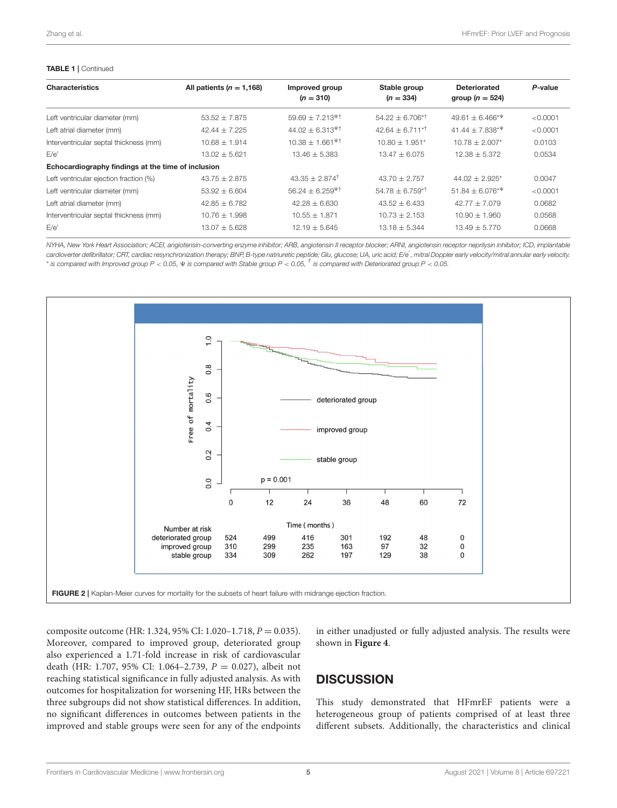#### TABLE 1 | Continued

| <b>Characteristics</b>                             | All patients ( $n = 1,168$ ) | Improved group<br>$(n = 310)$                       | Stable group<br>$(n = 334)$ | <b>Deteriorated</b><br>group $(n = 524)$ | P-value  |
|----------------------------------------------------|------------------------------|-----------------------------------------------------|-----------------------------|------------------------------------------|----------|
| Left ventricular diameter (mm)                     | $53.52 \pm 7.875$            | $59.69 \pm 7.213$ <sup><math>\text{V}</math>†</sup> | $54.22 + 6.706^{*+}$        | $49.61 + 6.466*$                         | < 0.0001 |
| Left atrial diameter (mm)                          | $42.44 + 7.225$              | $44.02 + 6.313$ <sup><math>\Psi</math>†</sup>       | $42.64 + 6.711^{*+}$        | $41.44 + 7.838**$                        | < 0.0001 |
| Interventricular septal thickness (mm)             | $10.68 + 1.914$              | $10.38 \pm 1.661$ <sup><math>\Psi</math>†</sup>     | $10.80 + 1.951*$            | $10.78 + 2.007*$                         | 0.0103   |
| F/e'                                               | $13.02 + 5.621$              | $13.46 + 5.383$                                     | $13.47 + 6.075$             | $12.38 + 5.372$                          | 0.0534   |
| Echocardiography findings at the time of inclusion |                              |                                                     |                             |                                          |          |
| Left ventricular ejection fraction (%)             | $43.75 + 2.875$              | $43.35 + 2.874$ <sup>†</sup>                        | $43.70 + 2.757$             | $44.02 + 2.925$ <sup>*</sup>             | 0.0047   |
| Left ventricular diameter (mm)                     | $53.92 + 6.604$              | $56.24 + 6.259$ <sup><math>\Psi</math>†</sup>       | $54.78 + 6.759^{*T}$        | $51.84 + 6.076*$                         | < 0.0001 |
| Left atrial diameter (mm)                          | $42.85 + 6.782$              | $42.28 + 6.630$                                     | $43.52 + 6.433$             | $42.77 + 7.079$                          | 0.0682   |
| Interventricular septal thickness (mm)             | $10.76 + 1.998$              | $10.55 + 1.871$                                     | $10.73 + 2.153$             | $10.90 + 1.960$                          | 0.0568   |
| F/e'                                               | $13.07 + 5.628$              | $12.19 + 5.645$                                     | $13.18 + 5.344$             | $13.49 + 5.770$                          | 0.0668   |

*NYHA, New York Heart Association; ACEI, angiotensin-converting enzyme inhibitor; ARB, angiotensin II receptor blocker; ARNI, angiotensin receptor neprilysin inhibitor; ICD, implantable cardioverter defibrillator; CRT, cardiac resynchronization therapy; BNP, B-type natriuretic peptide; Glu, glucose; UA, uric acid; E/e*′ *, mitral Doppler early velocity/mitral annular early velocity.* \* *is compared with Improved group P* < *0.05,* 9 *is compared with Stable group P* < *0.05, † is compared with Deteriorated group P* < *0.05.*



<span id="page-4-0"></span>composite outcome (HR: 1.324, 95% CI: 1.020–1.718, P = 0.035). Moreover, compared to improved group, deteriorated group also experienced a 1.71-fold increase in risk of cardiovascular death (HR: 1.707, 95% CI: 1.064-2.739,  $P = 0.027$ ), albeit not reaching statistical significance in fully adjusted analysis. As with outcomes for hospitalization for worsening HF, HRs between the three subgroups did not show statistical differences. In addition, no significant differences in outcomes between patients in the improved and stable groups were seen for any of the endpoints in either unadjusted or fully adjusted analysis. The results were shown in **[Figure 4](#page-6-0)**.

## **DISCUSSION**

This study demonstrated that HFmrEF patients were a heterogeneous group of patients comprised of at least three different subsets. Additionally, the characteristics and clinical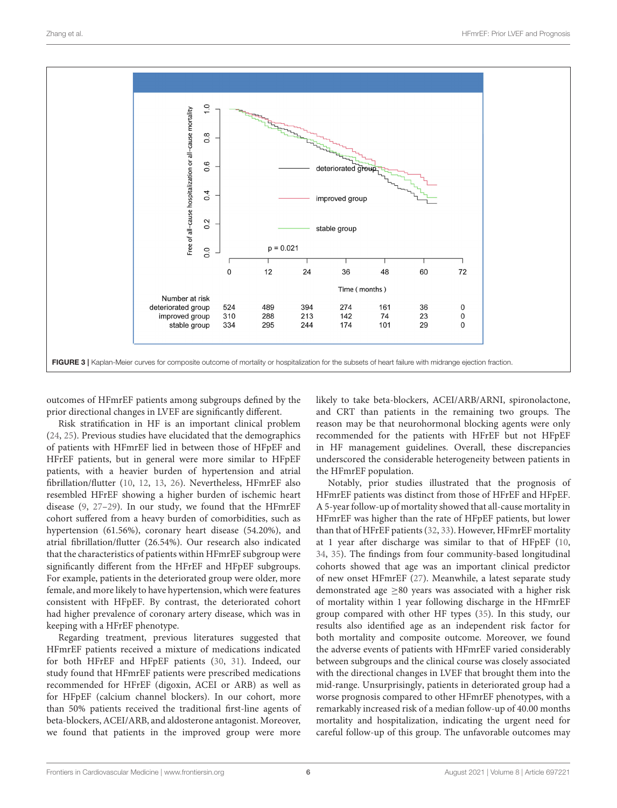

<span id="page-5-0"></span>outcomes of HFmrEF patients among subgroups defined by the prior directional changes in LVEF are significantly different.

Risk stratification in HF is an important clinical problem [\(24,](#page-8-6) [25\)](#page-8-7). Previous studies have elucidated that the demographics of patients with HFmrEF lied in between those of HFpEF and HFrEF patients, but in general were more similar to HFpEF patients, with a heavier burden of hypertension and atrial fibrillation/flutter [\(10,](#page-7-11) [12,](#page-7-8) [13,](#page-7-12) [26\)](#page-8-8). Nevertheless, HFmrEF also resembled HFrEF showing a higher burden of ischemic heart disease [\(9,](#page-7-6) [27–](#page-8-9)[29\)](#page-8-10). In our study, we found that the HFmrEF cohort suffered from a heavy burden of comorbidities, such as hypertension (61.56%), coronary heart disease (54.20%), and atrial fibrillation/flutter (26.54%). Our research also indicated that the characteristics of patients within HFmrEF subgroup were significantly different from the HFrEF and HFpEF subgroups. For example, patients in the deteriorated group were older, more female, and more likely to have hypertension, which were features consistent with HFpEF. By contrast, the deteriorated cohort had higher prevalence of coronary artery disease, which was in keeping with a HFrEF phenotype.

Regarding treatment, previous literatures suggested that HFmrEF patients received a mixture of medications indicated for both HFrEF and HFpEF patients [\(30,](#page-8-11) [31\)](#page-8-12). Indeed, our study found that HFmrEF patients were prescribed medications recommended for HFrEF (digoxin, ACEI or ARB) as well as for HFpEF (calcium channel blockers). In our cohort, more than 50% patients received the traditional first-line agents of beta-blockers, ACEI/ARB, and aldosterone antagonist. Moreover, we found that patients in the improved group were more likely to take beta-blockers, ACEI/ARB/ARNI, spironolactone, and CRT than patients in the remaining two groups. The reason may be that neurohormonal blocking agents were only recommended for the patients with HFrEF but not HFpEF in HF management guidelines. Overall, these discrepancies underscored the considerable heterogeneity between patients in the HFmrEF population.

Notably, prior studies illustrated that the prognosis of HFmrEF patients was distinct from those of HFrEF and HFpEF. A 5-year follow-up of mortality showed that all-cause mortality in HFmrEF was higher than the rate of HFpEF patients, but lower than that of HFrEF patients [\(32,](#page-8-13) [33\)](#page-8-14). However, HFmrEF mortality at 1 year after discharge was similar to that of HFpEF [\(10,](#page-7-11) [34,](#page-8-15) [35\)](#page-8-16). The findings from four community-based longitudinal cohorts showed that age was an important clinical predictor of new onset HFmrEF [\(27\)](#page-8-9). Meanwhile, a latest separate study demonstrated age ≥80 years was associated with a higher risk of mortality within 1 year following discharge in the HFmrEF group compared with other HF types [\(35\)](#page-8-16). In this study, our results also identified age as an independent risk factor for both mortality and composite outcome. Moreover, we found the adverse events of patients with HFmrEF varied considerably between subgroups and the clinical course was closely associated with the directional changes in LVEF that brought them into the mid-range. Unsurprisingly, patients in deteriorated group had a worse prognosis compared to other HFmrEF phenotypes, with a remarkably increased risk of a median follow-up of 40.00 months mortality and hospitalization, indicating the urgent need for careful follow-up of this group. The unfavorable outcomes may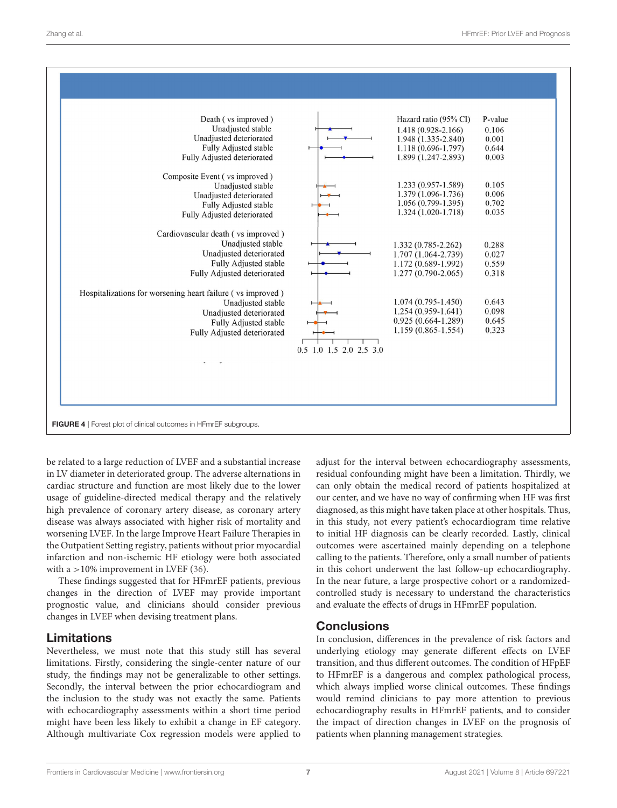

<span id="page-6-0"></span>be related to a large reduction of LVEF and a substantial increase in LV diameter in deteriorated group. The adverse alternations in cardiac structure and function are most likely due to the lower usage of guideline-directed medical therapy and the relatively high prevalence of coronary artery disease, as coronary artery disease was always associated with higher risk of mortality and worsening LVEF. In the large Improve Heart Failure Therapies in the Outpatient Setting registry, patients without prior myocardial infarction and non-ischemic HF etiology were both associated with a  $>10\%$  improvement in LVEF [\(36\)](#page-8-17).

These findings suggested that for HFmrEF patients, previous changes in the direction of LVEF may provide important prognostic value, and clinicians should consider previous changes in LVEF when devising treatment plans.

### Limitations

Nevertheless, we must note that this study still has several limitations. Firstly, considering the single-center nature of our study, the findings may not be generalizable to other settings. Secondly, the interval between the prior echocardiogram and the inclusion to the study was not exactly the same. Patients with echocardiography assessments within a short time period might have been less likely to exhibit a change in EF category. Although multivariate Cox regression models were applied to adjust for the interval between echocardiography assessments, residual confounding might have been a limitation. Thirdly, we can only obtain the medical record of patients hospitalized at our center, and we have no way of confirming when HF was first diagnosed, as this might have taken place at other hospitals. Thus, in this study, not every patient's echocardiogram time relative to initial HF diagnosis can be clearly recorded. Lastly, clinical outcomes were ascertained mainly depending on a telephone calling to the patients. Therefore, only a small number of patients in this cohort underwent the last follow-up echocardiography. In the near future, a large prospective cohort or a randomizedcontrolled study is necessary to understand the characteristics and evaluate the effects of drugs in HFmrEF population.

### **Conclusions**

In conclusion, differences in the prevalence of risk factors and underlying etiology may generate different effects on LVEF transition, and thus different outcomes. The condition of HFpEF to HFmrEF is a dangerous and complex pathological process, which always implied worse clinical outcomes. These findings would remind clinicians to pay more attention to previous echocardiography results in HFmrEF patients, and to consider the impact of direction changes in LVEF on the prognosis of patients when planning management strategies.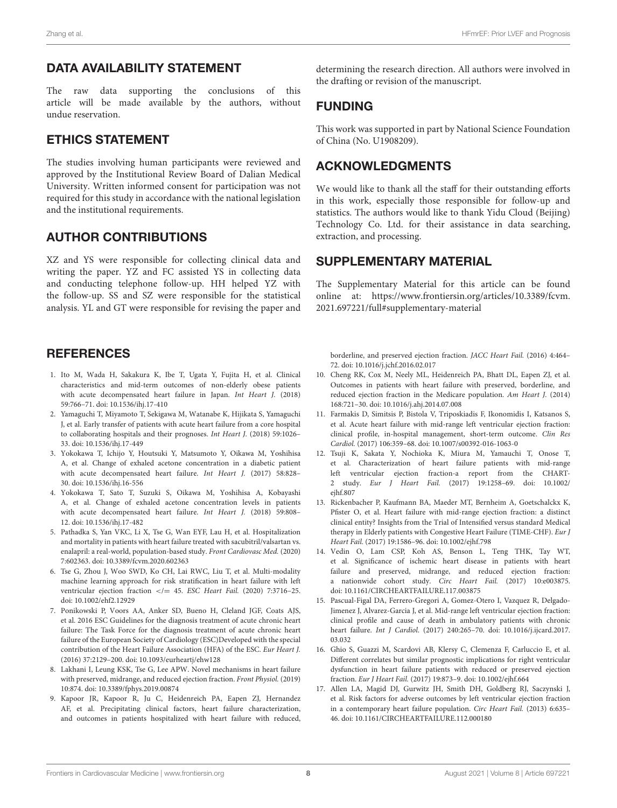### DATA AVAILABILITY STATEMENT

The raw data supporting the conclusions of this article will be made available by the authors, without undue reservation.

### ETHICS STATEMENT

The studies involving human participants were reviewed and approved by the Institutional Review Board of Dalian Medical University. Written informed consent for participation was not required for this study in accordance with the national legislation and the institutional requirements.

### AUTHOR CONTRIBUTIONS

XZ and YS were responsible for collecting clinical data and writing the paper. YZ and FC assisted YS in collecting data and conducting telephone follow-up. HH helped YZ with the follow-up. SS and SZ were responsible for the statistical analysis. YL and GT were responsible for revising the paper and

### **REFERENCES**

- <span id="page-7-0"></span>1. Ito M, Wada H, Sakakura K, Ibe T, Ugata Y, Fujita H, et al. Clinical characteristics and mid-term outcomes of non-elderly obese patients with acute decompensated heart failure in Japan. Int Heart J. (2018) 59:766–71. doi: [10.1536/ihj.17-410](https://doi.org/10.1536/ihj.17-410)
- 2. Yamaguchi T, Miyamoto T, Sekigawa M, Watanabe K, Hijikata S, Yamaguchi J, et al. Early transfer of patients with acute heart failure from a core hospital to collaborating hospitals and their prognoses. Int Heart J. (2018) 59:1026– 33. doi: [10.1536/ihj.17-449](https://doi.org/10.1536/ihj.17-449)
- 3. Yokokawa T, Ichijo Y, Houtsuki Y, Matsumoto Y, Oikawa M, Yoshihisa A, et al. Change of exhaled acetone concentration in a diabetic patient with acute decompensated heart failure. Int Heart J. (2017) 58:828– 30. doi: [10.1536/ihj.16-556](https://doi.org/10.1536/ihj.16-556)
- <span id="page-7-1"></span>4. Yokokawa T, Sato T, Suzuki S, Oikawa M, Yoshihisa A, Kobayashi A, et al. Change of exhaled acetone concentration levels in patients with acute decompensated heart failure. Int Heart J. (2018) 59:808– 12. doi: [10.1536/ihj.17-482](https://doi.org/10.1536/ihj.17-482)
- <span id="page-7-2"></span>5. Pathadka S, Yan VKC, Li X, Tse G, Wan EYF, Lau H, et al. Hospitalization and mortality in patients with heart failure treated with sacubitril/valsartan vs. enalapril: a real-world, population-based study. Front Cardiovasc Med. (2020) 7:602363. doi: [10.3389/fcvm.2020.602363](https://doi.org/10.3389/fcvm.2020.602363)
- <span id="page-7-3"></span>6. Tse G, Zhou J, Woo SWD, Ko CH, Lai RWC, Liu T, et al. Multi-modality machine learning approach for risk stratification in heart failure with left ventricular ejection fraction </= 45. ESC Heart Fail. (2020) 7:3716-25. doi: [10.1002/ehf2.12929](https://doi.org/10.1002/ehf2.12929)
- <span id="page-7-4"></span>7. Ponikowski P, Voors AA, Anker SD, Bueno H, Cleland JGF, Coats AJS, et al. 2016 ESC Guidelines for the diagnosis treatment of acute chronic heart failure: The Task Force for the diagnosis treatment of acute chronic heart failure of the European Society of Cardiology (ESC)Developed with the special contribution of the Heart Failure Association (HFA) of the ESC. Eur Heart J. (2016) 37:2129–200. doi: [10.1093/eurheartj/ehw128](https://doi.org/10.1093/eurheartj/ehw128)
- <span id="page-7-5"></span>8. Lakhani I, Leung KSK, Tse G, Lee APW. Novel mechanisms in heart failure with preserved, midrange, and reduced ejection fraction. Front Physiol. (2019) 10:874. doi: [10.3389/fphys.2019.00874](https://doi.org/10.3389/fphys.2019.00874)
- <span id="page-7-6"></span>9. Kapoor JR, Kapoor R, Ju C, Heidenreich PA, Eapen ZJ, Hernandez AF, et al. Precipitating clinical factors, heart failure characterization, and outcomes in patients hospitalized with heart failure with reduced,

determining the research direction. All authors were involved in the drafting or revision of the manuscript.

### FUNDING

This work was supported in part by National Science Foundation of China (No. U1908209).

### ACKNOWLEDGMENTS

We would like to thank all the staff for their outstanding efforts in this work, especially those responsible for follow-up and statistics. The authors would like to thank Yidu Cloud (Beijing) Technology Co. Ltd. for their assistance in data searching, extraction, and processing.

### SUPPLEMENTARY MATERIAL

<span id="page-7-10"></span>The Supplementary Material for this article can be found [online at: https://www.frontiersin.org/articles/10.3389/fcvm.](https://www.frontiersin.org/articles/10.3389/fcvm.2021.697221/full#supplementary-material) 2021.697221/full#supplementary-material

borderline, and preserved ejection fraction. JACC Heart Fail. (2016) 4:464– 72. doi: [10.1016/j.jchf.2016.02.017](https://doi.org/10.1016/j.jchf.2016.02.017)

- <span id="page-7-11"></span>10. Cheng RK, Cox M, Neely ML, Heidenreich PA, Bhatt DL, Eapen ZJ, et al. Outcomes in patients with heart failure with preserved, borderline, and reduced ejection fraction in the Medicare population. Am Heart J. (2014) 168:721–30. doi: [10.1016/j.ahj.2014.07.008](https://doi.org/10.1016/j.ahj.2014.07.008)
- <span id="page-7-7"></span>11. Farmakis D, Simitsis P, Bistola V, Triposkiadis F, Ikonomidis I, Katsanos S, et al. Acute heart failure with mid-range left ventricular ejection fraction: clinical profile, in-hospital management, short-term outcome. Clin Res Cardiol. (2017) 106:359–68. doi: [10.1007/s00392-016-1063-0](https://doi.org/10.1007/s00392-016-1063-0)
- <span id="page-7-8"></span>12. Tsuji K, Sakata Y, Nochioka K, Miura M, Yamauchi T, Onose T, et al. Characterization of heart failure patients with mid-range left ventricular ejection fraction-a report from the CHART-2 study. Eur J Heart Fail. [\(2017\) 19:1258–69. doi: 10.1002/](https://doi.org/10.1002/ejhf.807) ejhf.807
- <span id="page-7-12"></span>13. Rickenbacher P, Kaufmann BA, Maeder MT, Bernheim A, Goetschalckx K, Pfister O, et al. Heart failure with mid-range ejection fraction: a distinct clinical entity? Insights from the Trial of Intensified versus standard Medical therapy in Elderly patients with Congestive Heart Failure (TIME-CHF). Eur J Heart Fail. (2017) 19:1586–96. doi: [10.1002/ejhf.798](https://doi.org/10.1002/ejhf.798)
- 14. Vedin O, Lam CSP, Koh AS, Benson L, Teng THK, Tay WT, et al. Significance of ischemic heart disease in patients with heart failure and preserved, midrange, and reduced ejection fraction: a nationwide cohort study. Circ Heart Fail. (2017) 10:e003875. doi: [10.1161/CIRCHEARTFAILURE.117.003875](https://doi.org/10.1161/CIRCHEARTFAILURE.117.003875)
- 15. Pascual-Figal DA, Ferrero-Gregori A, Gomez-Otero I, Vazquez R, Delgado-Jimenez J, Alvarez-Garcia J, et al. Mid-range left ventricular ejection fraction: clinical profile and cause of death in ambulatory patients with chronic heart failure. Int J Cardiol. [\(2017\) 240:265–70. doi: 10.1016/j.ijcard.2017.](https://doi.org/10.1016/j.ijcard.2017.03.032) 03.032
- 16. Ghio S, Guazzi M, Scardovi AB, Klersy C, Clemenza F, Carluccio E, et al. Different correlates but similar prognostic implications for right ventricular dysfunction in heart failure patients with reduced or preserved ejection fraction. Eur J Heart Fail. (2017) 19:873–9. doi: [10.1002/ejhf.664](https://doi.org/10.1002/ejhf.664)
- <span id="page-7-9"></span>17. Allen LA, Magid DJ, Gurwitz JH, Smith DH, Goldberg RJ, Saczynski J, et al. Risk factors for adverse outcomes by left ventricular ejection fraction in a contemporary heart failure population. Circ Heart Fail. (2013) 6:635– 46. doi: [10.1161/CIRCHEARTFAILURE.112.000180](https://doi.org/10.1161/CIRCHEARTFAILURE.112.000180)